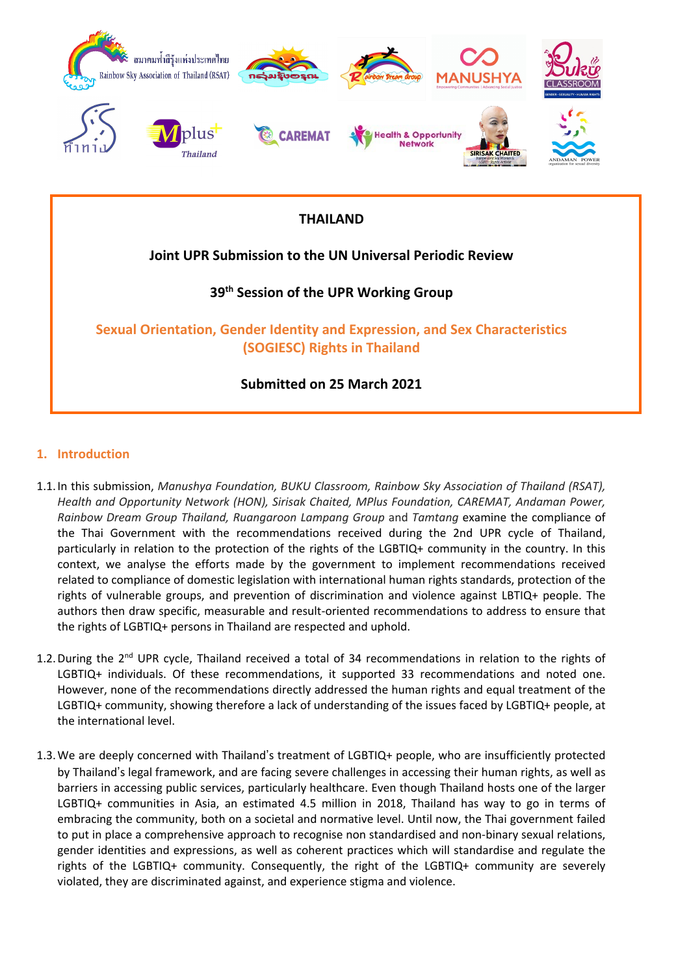

## **THAILAND**

# **Joint UPR Submission to the UN Universal Periodic Review**

# **39th Session of the UPR Working Group**

**Sexual Orientation, Gender Identity and Expression, and Sex Characteristics (SOGIESC) Rights in Thailand**

**Submitted on 25 March 2021**

### **1. Introduction**

- 1.1.In this submission, *Manushya Foundation, BUKU Classroom, Rainbow Sky Association of Thailand (RSAT), Health and Opportunity Network (HON), Sirisak Chaited, MPlus Foundation, CAREMAT, Andaman Power, Rainbow Dream Group Thailand, Ruangaroon Lampang Group* and *Tamtang* examine the compliance of the Thai Government with the recommendations received during the 2nd UPR cycle of Thailand, particularly in relation to the protection of the rights of the LGBTIQ+ community in the country. In this context, we analyse the efforts made by the government to implement recommendations received related to compliance of domestic legislation with international human rights standards, protection of the rights of vulnerable groups, and prevention of discrimination and violence against LBTIQ+ people. The authors then draw specific, measurable and result-oriented recommendations to address to ensure that the rights of LGBTIQ+ persons in Thailand are respected and uphold.
- 1.2. During the 2<sup>nd</sup> UPR cycle, Thailand received a total of 34 recommendations in relation to the rights of LGBTIQ+ individuals. Of these recommendations, it supported 33 recommendations and noted one. However, none of the recommendations directly addressed the human rights and equal treatment of the LGBTIQ+ community, showing therefore <sup>a</sup> lack of understanding of the issues faced by LGBTIQ+ people, at the international level.
- 1.3.We are deeply concerned with Thailand'<sup>s</sup> treatment of LGBTIQ+ people, who are insufficiently protected by Thailand'<sup>s</sup> legal framework, and are facing severe challenges in accessing their human rights, as well as barriers in accessing public services, particularly healthcare. Even though Thailand hosts one of the larger LGBTIQ+ communities in Asia, an estimated 4.5 million in 2018, Thailand has way to go in terms of embracing the community, both on <sup>a</sup> societal and normative level. Until now, the Thai government failed to put in place <sup>a</sup> comprehensive approach to recognise non standardised and non-binary sexual relations, gender identities and expressions, as well as coherent practices which will standardise and regulate the rights of the LGBTIQ+ community. Consequently, the right of the LGBTIQ+ community are severely violated, they are discriminated against, and experience stigma and violence.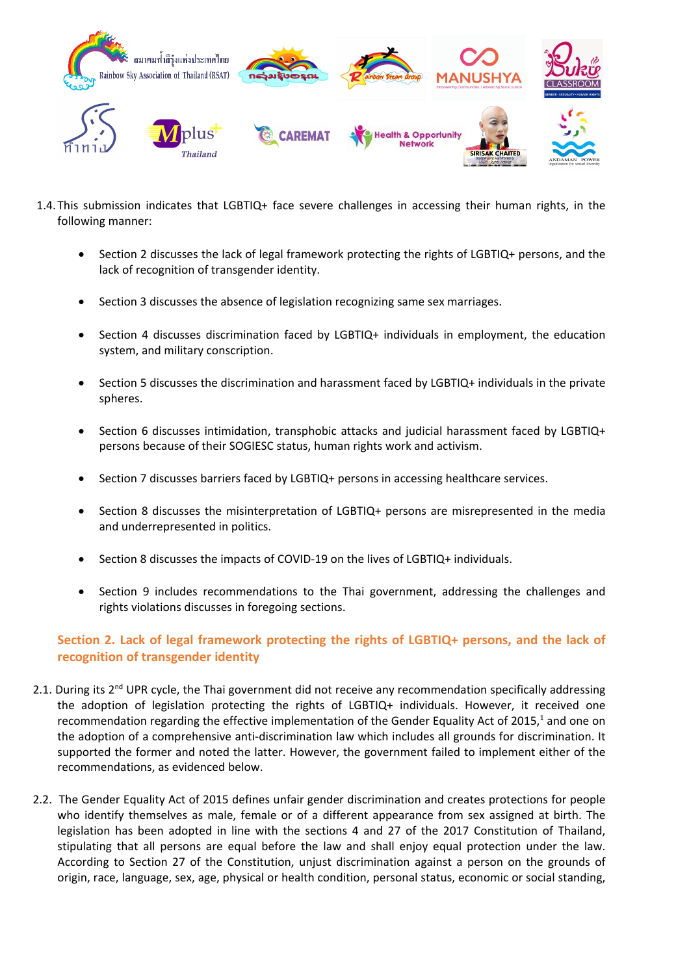

- 1.4.This submission indicates that LGBTIQ+ face severe challenges in accessing their human rights, in the following manner:
	- $\bullet$  Section 2 discusses the lack of legal framework protecting the rights of LGBTIQ+ persons, and the lack of recognition of transgender identity.
	- . Section 3 discusses the absence of legislation recognizing same sex marriages.
	- . Section 4 discusses discrimination faced by LGBTIQ+ individuals in employment, the education system, and military conscription.
	- . Section 5 discusses the discrimination and harassment faced by LGBTIQ+ individuals in the private spheres.
	- . Section 6 discusses intimidation, transphobic attacks and judicial harassment faced by LGBTIQ+ persons because of their SOGIESC status, human rights work and activism.
	- . Section 7 discusses barriers faced by LGBTIQ+ persons in accessing healthcare services.
	- . Section 8 discusses the misinterpretation of LGBTIQ+ persons are misrepresented in the media and underrepresented in politics.
	- . Section 8 discusses the impacts of COVID-19 on the lives of LGBTIQ+ individuals.
	- $\bullet$  Section 9 includes recommendations to the Thai government, addressing the challenges and rights violations discusses in foregoing sections.

## **Section 2. Lack of legal framework protecting the rights of LGBTIQ+ persons, and the lack of recognition of transgender identity**

- 2.1. During its 2<sup>nd</sup> UPR cycle, the Thai government did not receive any recommendation specifically addressing the adoption of legislation protecting the rights of LGBTIQ+ individuals. However, it received one recommendation regarding the effective implementation of the Gender Equality Act of 2015,<sup>1</sup> and one on the adoption of <sup>a</sup> comprehensive anti-discrimination law which includes all grounds for discrimination. It supported the former and noted the latter. However, the government failed to implement either of the recommendations, as evidenced below.
- 2.2. The Gender Equality Act of 2015 defines unfair gender discrimination and creates protections for people who identify themselves as male, female or of <sup>a</sup> different appearance from sex assigned at birth. The legislation has been adopted in line with the sections 4 and 27 of the 2017 Constitution of Thailand, stipulating that all persons are equal before the law and shall enjoy equal protection under the law. According to Section 27 of the Constitution, unjust discrimination against <sup>a</sup> person on the grounds of origin, race, language, sex, age, physical or health condition, personal status, economic or social standing,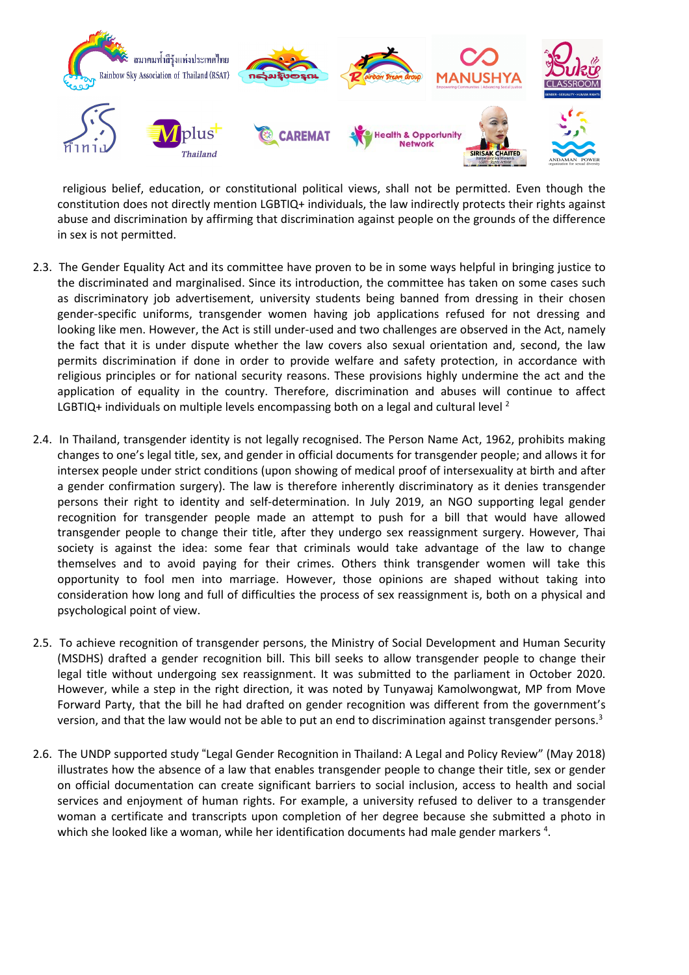

religious belief, education, or constitutional political views, shall not be permitted. Even though the constitution does not directly mention LGBTIQ+ individuals, the law indirectly protects their rights against abuse and discrimination by affirming that discrimination against people on the grounds of the difference in sex is not permitted.

- 2.3. The Gender Equality Act and its committee have proven to be in some ways helpful in bringing justice to the discriminated and marginalised. Since its introduction, the committee has taken on some cases such as discriminatory job advertisement, university students being banned from dressing in their chosen gender-specific uniforms, transgender women having job applications refused for not dressing and looking like men. However, the Act is still under-used and two challenges are observed in the Act, namely the fact that it is under dispute whether the law covers also sexual orientation and, second, the law permits discrimination if done in order to provide welfare and safety protection, in accordance with religious principles or for national security reasons. These provisions highly undermine the act and the application of equality in the country. Therefore, discrimination and abuses will continue to affect LGBTIQ+ individuals on multiple levels encompassing both on a legal and cultural level  $^2$
- 2.4. In Thailand, transgender identity is not legally recognised. The Person Name Act, 1962, prohibits making changes to one'<sup>s</sup> legal title, sex, and gender in official documents for transgender people; and allows it for intersex people under strict conditions (upon showing of medical proof of intersexuality at birth and after <sup>a</sup> gender confirmation surgery). The law is therefore inherently discriminatory as it denies transgender persons their right to identity and self-determination. In July 2019, an NGO supporting legal gender recognition for transgender people made an attempt to push for <sup>a</sup> bill that would have allowed transgender people to change their title, after they undergo sex reassignment surgery. However, Thai society is against the idea: some fear that criminals would take advantage of the law to change themselves and to avoid paying for their crimes. Others think transgender women will take this opportunity to fool men into marriage. However, those opinions are shaped without taking into consideration how long and full of difficulties the process of sex reassignment is, both on <sup>a</sup> physical and psychological point of view.
- 2.5. To achieve recognition of transgender persons, the Ministry of Social Development and Human Security (MSDHS) drafted <sup>a</sup> gender recognition bill. This bill seeks to allow transgender people to change their legal title without undergoing sex reassignment. It was submitted to the parliament in October 2020. However, while <sup>a</sup> step in the right direction, it was noted by Tunyawaj Kamolwongwat, MP from Move Forward Party, that the bill he had drafted on gender recognition was different from the government'<sup>s</sup> version, and that the law would not be able to put an end to discrimination against transgender persons.<sup>3</sup>
- 2.6. The UNDP supported study "Legal Gender Recognition in Thailand: <sup>A</sup> Legal and Policy Review" (May 2018) illustrates how the absence of <sup>a</sup> law that enables transgender people to change their title, sex or gender on official documentation can create significant barriers to social inclusion, access to health and social services and enjoyment of human rights. For example, <sup>a</sup> university refused to deliver to <sup>a</sup> transgender woman <sup>a</sup> certificate and transcripts upon completion of her degree because she submitted <sup>a</sup> photo in which she looked like a woman, while her identification documents had male gender markers <sup>4</sup>.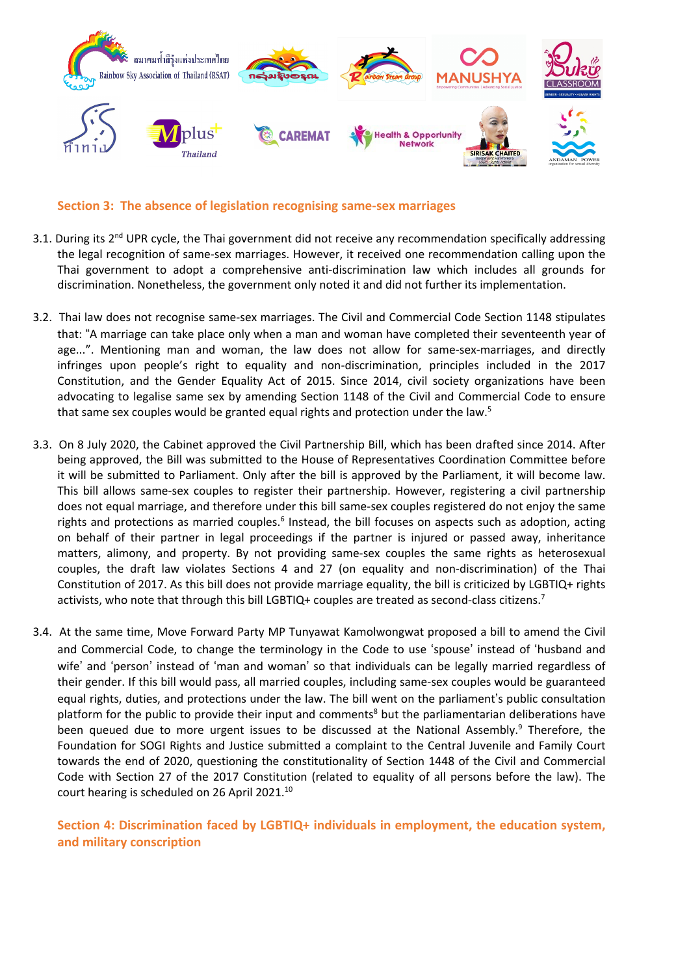

**Section 3: The absence of legislation recognising same-sex marriages**

- 3.1. During its 2<sup>nd</sup> UPR cycle, the Thai government did not receive any recommendation specifically addressing the legal recognition of same-sex marriages. However, it received one recommendation calling upon the Thai government to adopt <sup>a</sup> comprehensive anti-discrimination law which includes all grounds for discrimination. Nonetheless, the government only noted it and did not further its implementation.
- 3.2. Thai law does not recognise same-sex marriages. The Civil and Commercial Code Section 1148 stipulates that: "<sup>A</sup> marriage can take place only when <sup>a</sup> man and woman have completed their seventeenth year of age...". Mentioning man and woman, the law does not allow for same-sex-marriages, and directly infringes upon people'<sup>s</sup> right to equality and non-discrimination, principles included in the 2017 Constitution, and the Gender Equality Act of 2015. Since 2014, civil society organizations have been advocating to legalise same sex by amending Section 1148 of the Civil and Commercial Code to ensure that same sex couples would be granted equal rights and protection under the law.<sup>5</sup>
- 3.3. On 8 July 2020, the Cabinet approved the Civil Partnership Bill, which has been drafted since 2014. After being approved, the Bill was submitted to the House of Representatives Coordination Committee before it will be submitted to Parliament. Only after the bill is approved by the Parliament, it will become law. This bill allows same-sex couples to register their partnership. However, registering <sup>a</sup> civil partnership does not equal marriage, and therefore under this bill same-sex couples registered do not enjoy the same rights and protections as married couples. $^6$  Instead, the bill focuses on aspects such as adoption, acting on behalf of their partner in legal proceedings if the partner is injured or passed away, inheritance matters, alimony, and property. By not providing same-sex couples the same rights as heterosexual couples, the draft law violates Sections 4 and 27 (on equality and non-discrimination) of the Thai Constitution of 2017. As this bill does not provide marriage equality, the bill is criticized by LGBTIQ+ rights activists, who note that through this bill LGBTIQ+ couples are treated as second-class citizens.<sup>7</sup>
- 3.4. At the same time, Move Forward Party MP Tunyawat Kamolwongwat proposed <sup>a</sup> bill to amend the Civil and Commercial Code, to change the terminology in the Code to use 'spouse' instead of 'husband and wife' and 'person' instead of 'man and woman' so that individuals can be legally married regardless of their gender. If this bill would pass, all married couples, including same-sex couples would be guaranteed equal rights, duties, and protections under the law. The bill went on the parliament'<sup>s</sup> public consultation platform for the public to provide their input and comments<sup>8</sup> but the parliamentarian deliberations have been queued due to more urgent issues to be discussed at the National Assembly.<sup>9</sup> Therefore, the Foundation for SOGI Rights and Justice submitted <sup>a</sup> complaint to the Central Juvenile and Family Court towards the end of 2020, questioning the constitutionality of Section 1448 of the Civil and Commercial Code with Section 27 of the 2017 Constitution (related to equality of all persons before the law). The court hearing is scheduled on 26 April 2021. $^{10}$

## **Section 4: Discrimination faced by LGBTIQ+ individuals in employment, the education system, and military conscription**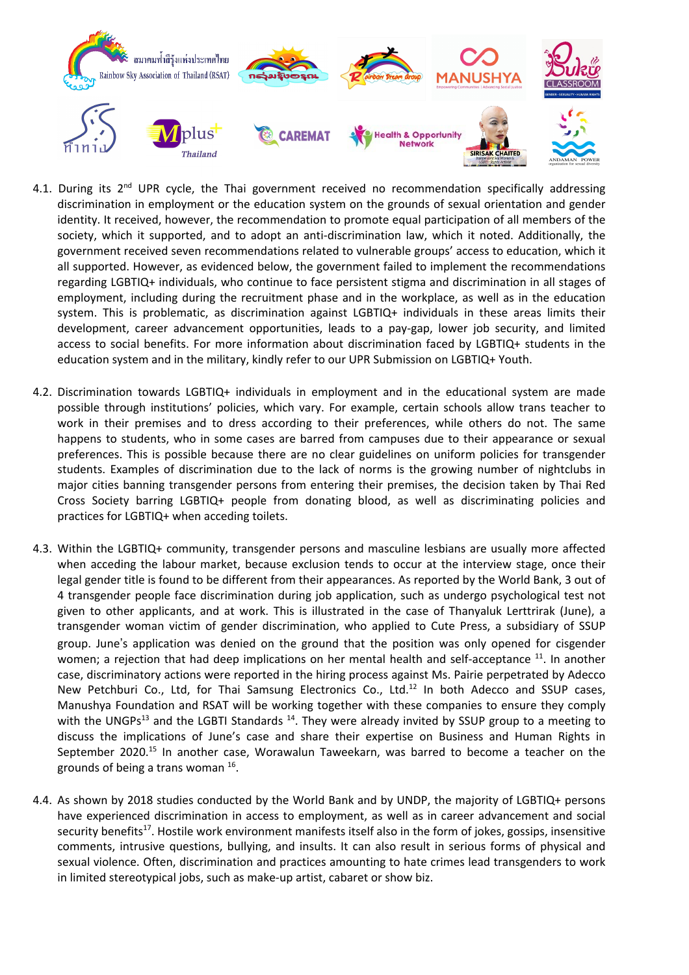

- 4.1. During its 2<sup>nd</sup> UPR cycle, the Thai government received no recommendation specifically addressing discrimination in employment or the education system on the grounds of sexual orientation and gender identity. It received, however, the recommendation to promote equal participation of all members of the society, which it supported, and to adopt an anti-discrimination law, which it noted. Additionally, the government received seven recommendations related to vulnerable groups' access to education, which it all supported. However, as evidenced below, the government failed to implement the recommendations regarding LGBTIQ+ individuals, who continue to face persistent stigma and discrimination in all stages of employment, including during the recruitment phase and in the workplace, as well as in the education system. This is problematic, as discrimination against LGBTIQ+ individuals in these areas limits their development, career advancement opportunities, leads to <sup>a</sup> pay-gap, lower job security, and limited access to social benefits. For more information about discrimination faced by LGBTIQ+ students in the education system and in the military, kindly refer to our UPR Submission on LGBTIQ+ Youth.
- 4.2. Discrimination towards LGBTIQ+ individuals in employment and in the educational system are made possible through institutions' policies, which vary. For example, certain schools allow trans teacher to work in their premises and to dress according to their preferences, while others do not. The same happens to students, who in some cases are barred from campuses due to their appearance or sexual preferences. This is possible because there are no clear guidelines on uniform policies for transgender students. Examples of discrimination due to the lack of norms is the growing number of nightclubs in major cities banning transgender persons from entering their premises, the decision taken by Thai Red Cross Society barring LGBTIQ+ people from donating blood, as well as discriminating policies and practices for LGBTIQ+ when acceding toilets.
- 4.3. Within the LGBTIQ+ community, transgender persons and masculine lesbians are usually more affected when acceding the labour market, because exclusion tends to occur at the interview stage, once their legal gender title is found to be different from their appearances. As reported by the World Bank, 3 out of 4 transgender people face discrimination during job application, such as undergo psychological test not given to other applicants, and at work. This is illustrated in the case of Thanyaluk Lerttrirak (June), <sup>a</sup> transgender woman victim of gender discrimination, who applied to Cute Press, <sup>a</sup> subsidiary of SSUP group. June'<sup>s</sup> application was denied on the ground that the position was only opened for cisgender women; a rejection that had deep implications on her mental health and self-acceptance  $^{\rm 11}.$  In another case, discriminatory actions were reported in the hiring process against Ms. Pairie perpetrated by Adecco New Petchburi Co., Ltd, for Thai Samsung Electronics Co., Ltd.<sup>12</sup> In both Adecco and SSUP cases, Manushya Foundation and RSAT will be working together with these companies to ensure they comply with the UNGPs<sup>13</sup> and the LGBTI Standards <sup>14</sup>. They were already invited by SSUP group to a meeting to discuss the implications of June'<sup>s</sup> case and share their expertise on Business and Human Rights in September 2020.<sup>15</sup> In another case, Worawalun Taweekarn, was barred to become a teacher on the grounds of being a trans woman <sup>16</sup>.
- 4.4. As shown by 2018 studies conducted by the World Bank and by UNDP, the majority of LGBTIQ+ persons have experienced discrimination in access to employment, as well as in career advancement and social security benefits<sup>17</sup>. Hostile work environment manifests itself also in the form of jokes, gossips, insensitive comments, intrusive questions, bullying, and insults. It can also result in serious forms of physical and sexual violence. Often, discrimination and practices amounting to hate crimes lead transgenders to work in limited stereotypical jobs, such as make-up artist, cabaret or show biz.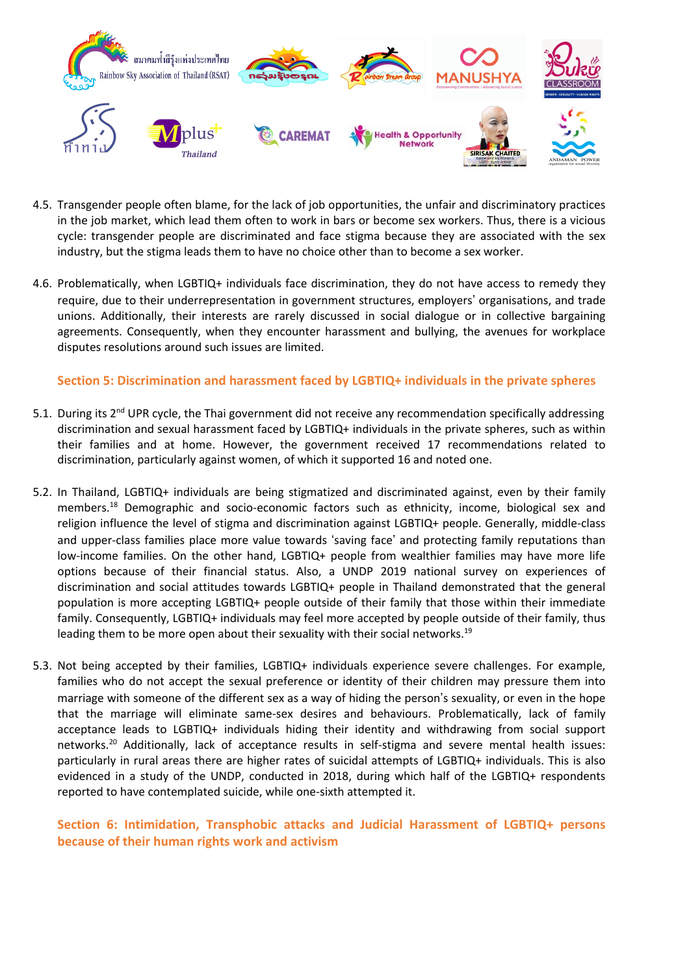

- 4.5. Transgender people often blame, for the lack of job opportunities, the unfair and discriminatory practices in the job market, which lead them often to work in bars or become sex workers. Thus, there is <sup>a</sup> vicious cycle: transgender people are discriminated and face stigma because they are associated with the sex industry, but the stigma leads them to have no choice other than to become <sup>a</sup> sex worker.
- 4.6. Problematically, when LGBTIQ+ individuals face discrimination, they do not have access to remedy they require, due to their underrepresentation in government structures, employers' organisations, and trade unions. Additionally, their interests are rarely discussed in social dialogue or in collective bargaining agreements. Consequently, when they encounter harassment and bullying, the avenues for workplace disputes resolutions around such issues are limited.

## **Section 5: Discrimination and harassment faced by LGBTIQ+ individuals in the private spheres**

- 5.1. During its 2<sup>nd</sup> UPR cycle, the Thai government did not receive any recommendation specifically addressing discrimination and sexual harassment faced by LGBTIQ+ individuals in the private spheres, such as within their families and at home. However, the government received 17 recommendations related to discrimination, particularly against women, of which it supported 16 and noted one.
- 5.2. In Thailand, LGBTIQ+ individuals are being stigmatized and discriminated against, even by their family members. 18 Demographic and socio-economic factors such as ethnicity, income, biological sex and religion influence the level of stigma and discrimination against LGBTIQ+ people. Generally, middle-class and upper-class families place more value towards 'saving face' and protecting family reputations than low-income families. On the other hand, LGBTIQ+ people from wealthier families may have more life options because of their financial status. Also, <sup>a</sup> UNDP 2019 national survey on experiences of discrimination and social attitudes towards LGBTIQ+ people in Thailand demonstrated that the general population is more accepting LGBTIQ+ people outside of their family that those within their immediate family. Consequently, LGBTIQ+ individuals may feel more accepted by people outside of their family, thus leading them to be more open about their sexuality with their social networks.<sup>19</sup>
- 5.3. Not being accepted by their families, LGBTIQ+ individuals experience severe challenges. For example, families who do not accept the sexual preference or identity of their children may pressure them into marriage with someone of the different sex as <sup>a</sup> way of hiding the person'<sup>s</sup> sexuality, or even in the hope that the marriage will eliminate same-sex desires and behaviours. Problematically, lack of family acceptance leads to LGBTIQ+ individuals hiding their identity and withdrawing from social support networks.<sup>20</sup> Additionally, lack of acceptance results in self-stigma and severe mental health issues: particularly in rural areas there are higher rates of suicidal attempts of LGBTIQ+ individuals. This is also evidenced in <sup>a</sup> study of the UNDP, conducted in 2018, during which half of the LGBTIQ+ respondents reported to have contemplated suicide, while one-sixth attempted it.

**Section 6: Intimidation, Transphobic attacks and Judicial Harassment of LGBTIQ+ persons because of their human rights work and activism**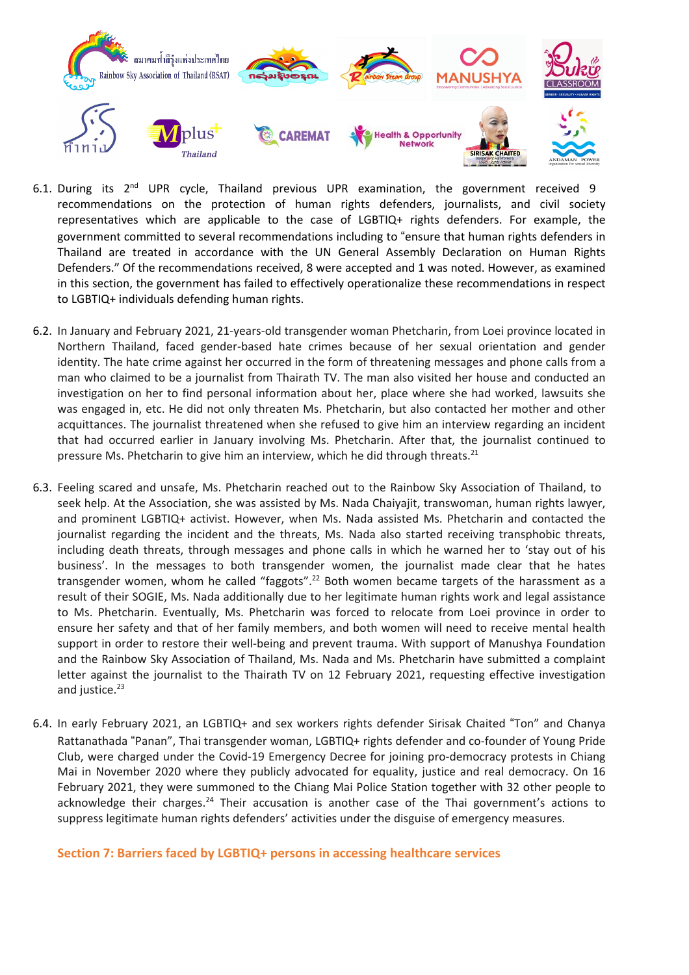

- 6.1. During its 2<sup>nd</sup> UPR cycle, Thailand previous UPR examination, the government received 9 recommendations on the protection of human rights defenders, journalists, and civil society representatives which are applicable to the case of LGBTIQ+ rights defenders. For example, the government committed to several recommendations including to "ensure that human rights defenders in Thailand are treated in accordance with the UN General Assembly Declaration on Human Rights Defenders." Of the recommendations received, 8 were accepted and 1 was noted. However, as examined in this section, the government has failed to effectively operationalize these recommendations in respect to LGBTIQ+ individuals defending human rights.
- 6.2. In January and February 2021, 21-years-old transgender woman Phetcharin, from Loei province located in Northern Thailand, faced gender-based hate crimes because of her sexual orientation and gender identity. The hate crime against her occurred in the form of threatening messages and phone calls from <sup>a</sup> man who claimed to be <sup>a</sup> journalist from Thairath TV. The man also visited her house and conducted an investigation on her to find personal information about her, place where she had worked, lawsuits she was engaged in, etc. He did not only threaten Ms. Phetcharin, but also contacted her mother and other acquittances. The journalist threatened when she refused to give him an interview regarding an incident that had occurred earlier in January involving Ms. Phetcharin. After that, the journalist continued to pressure Ms. Phetcharin to give him an interview, which he did through threats.<sup>21</sup>
- 6.3. Feeling scared and unsafe, Ms. Phetcharin reached out to the Rainbow Sky Association of Thailand, to seek help. At the Association, she was assisted by Ms. Nada Chaiyajit, transwoman, human rights lawyer, and prominent LGBTIQ+ activist. However, when Ms. Nada assisted Ms. Phetcharin and contacted the journalist regarding the incident and the threats, Ms. Nada also started receiving transphobic threats, including death threats, through messages and phone calls in which he warned her to 'stay out of his business'. In the messages to both transgender women, the journalist made clear that he hates transgender women, whom he called "faggots".<sup>22</sup> Both women became targets of the harassment as a result of their SOGIE, Ms. Nada additionally due to her legitimate human rights work and legal assistance to Ms. Phetcharin. Eventually, Ms. Phetcharin was forced to relocate from Loei province in order to ensure her safety and that of her family members, and both women will need to receive mental health support in order to restore their well-being and prevent trauma. With support of Manushya Foundation and the Rainbow Sky Association of Thailand, Ms. Nada and Ms. Phetcharin have submitted <sup>a</sup> complaint letter against the journalist to the Thairath TV on 12 February 2021, requesting effective investigation and justice.<sup>23</sup>
- 6.4. In early February 2021, an LGBTIQ+ and sex workers rights defender Sirisak Chaited "Ton" and Chanya Rattanathada "Panan", Thai transgender woman, LGBTIQ+ rights defender and co-founder of Young Pride Club, were charged under the Covid-19 Emergency Decree for joining pro-democracy protests in Chiang Mai in November 2020 where they publicly advocated for equality, justice and real democracy. On 16 February 2021, they were summoned to the Chiang Mai Police Station together with 32 other people to acknowledge their charges.<sup>24</sup> Their accusation is another case of the Thai government's actions to suppress legitimate human rights defenders' activities under the disguise of emergency measures.

**Section 7: Barriers faced by LGBTIQ+ persons in accessing healthcare services**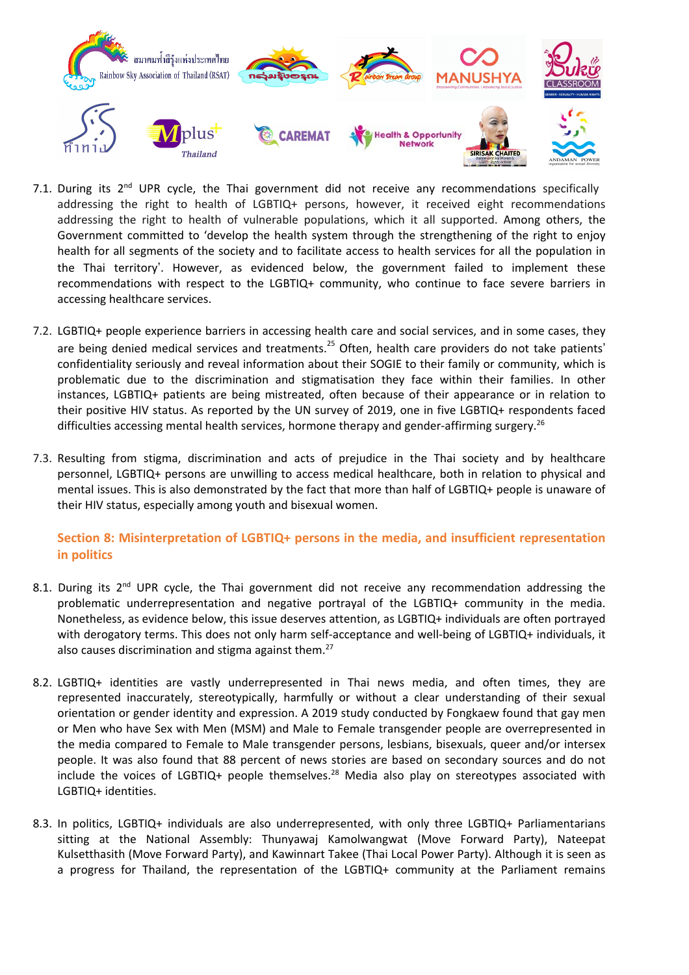

- 7.1. During its 2<sup>nd</sup> UPR cycle, the Thai government did not receive any recommendations specifically addressing the right to health of LGBTIQ+ persons, however, it received eight recommendations addressing the right to health of vulnerable populations, which it all supported. Among others, the Government committed to 'develop the health system through the strengthening of the right to enjoy health for all segments of the society and to facilitate access to health services for all the population in the Thai territory'. However, as evidenced below, the government failed to implement these recommendations with respect to the LGBTIQ+ community, who continue to face severe barriers in accessing healthcare services.
- 7.2. LGBTIQ+ people experience barriers in accessing health care and social services, and in some cases, they are being denied medical services and treatments.<sup>25</sup> Often, health care providers do not take patients' confidentiality seriously and reveal information about their SOGIE to their family or community, which is problematic due to the discrimination and stigmatisation they face within their families. In other instances, LGBTIQ+ patients are being mistreated, often because of their appearance or in relation to their positive HIV status. As reported by the UN survey of 2019, one in five LGBTIQ+ respondents faced difficulties accessing mental health services, hormone therapy and gender-affirming surgery.<sup>26</sup>
- 7.3. Resulting from stigma, discrimination and acts of prejudice in the Thai society and by healthcare personnel, LGBTIQ+ persons are unwilling to access medical healthcare, both in relation to physical and mental issues. This is also demonstrated by the fact that more than half of LGBTIQ+ people is unaware of their HIV status, especially among youth and bisexual women.

## **Section 8: Misinterpretation of LGBTIQ+ persons in the media, and insufficient representation in politics**

- 8.1. During its 2<sup>nd</sup> UPR cycle, the Thai government did not receive any recommendation addressing the problematic underrepresentation and negative portrayal of the LGBTIQ+ community in the media. Nonetheless, as evidence below, this issue deserves attention, as LGBTIQ+ individuals are often portrayed with derogatory terms. This does not only harm self-acceptance and well-being of LGBTIQ+ individuals, it also causes discrimination and stigma against them.<sup>27</sup>
- 8.2. LGBTIQ+ identities are vastly underrepresented in Thai news media, and often times, they are represented inaccurately, stereotypically, harmfully or without <sup>a</sup> clear understanding of their sexual orientation or gender identity and expression. A 2019 study conducted by Fongkaew found that gay men or Men who have Sex with Men (MSM) and Male to Female transgender people are overrepresented in the media compared to Female to Male transgender persons, lesbians, bisexuals, queer and/or intersex people. It was also found that 88 percent of news stories are based on secondary sources and do not include the voices of LGBTIQ+ people themselves.<sup>28</sup> Media also play on stereotypes associated with LGBTIQ+ identities.
- 8.3. In politics, LGBTIQ+ individuals are also underrepresented, with only three LGBTIQ+ Parliamentarians sitting at the National Assembly: Thunyawaj Kamolwangwat (Move Forward Party), Nateepat Kulsetthasith (Move Forward Party), and Kawinnart Takee (Thai Local Power Party). Although it is seen as <sup>a</sup> progress for Thailand, the representation of the LGBTIQ+ community at the Parliament remains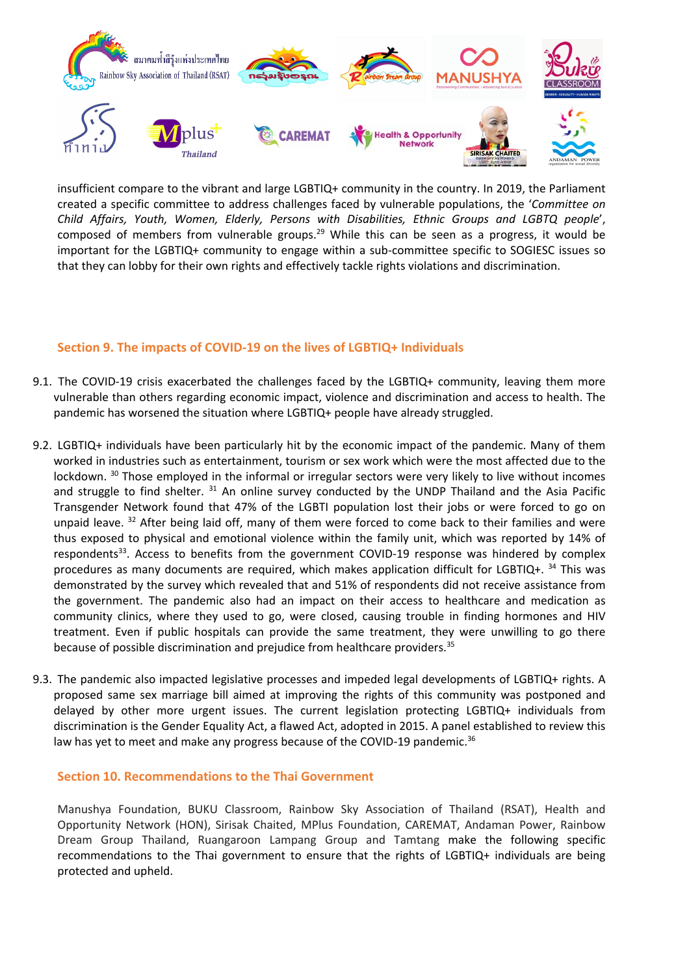

insufficient compare to the vibrant and large LGBTIQ+ community in the country. In 2019, the Parliament created <sup>a</sup> specific committee to address challenges faced by vulnerable populations, the '*Committee on Child Affairs, Youth, Women, Elderly, Persons with Disabilities, Ethnic Groups and LGBTQ people*', composed of members from vulnerable groups.<sup>29</sup> While this can be seen as a progress, it would be important for the LGBTIQ+ community to engage within <sup>a</sup> sub-committee specific to SOGIESC issues so that they can lobby for their own rights and effectively tackle rights violations and discrimination.

### **Section 9. The impacts of COVID-19 on the lives of LGBTIQ+ Individuals**

- 9.1. The COVID-19 crisis exacerbated the challenges faced by the LGBTIQ+ community, leaving them more vulnerable than others regarding economic impact, violence and discrimination and access to health. The pandemic has worsened the situation where LGBTIQ+ people have already struggled.
- 9.2. LGBTIQ+ individuals have been particularly hit by the economic impact of the pandemic. Many of them worked in industries such as entertainment, tourism or sex work which were the most affected due to the lockdown. <sup>30</sup> Those employed in the informal or irregular sectors were very likely to live without incomes and struggle to find shelter. <sup>31</sup> An online survey conducted by the UNDP Thailand and the Asia Pacific Transgender Network found that 47% of the LGBTI population lost their jobs or were forced to go on unpaid leave. <sup>32</sup> After being laid off, many of them were forced to come back to their families and were thus exposed to physical and emotional violence within the family unit, which was reported by 14% of respondents<sup>33</sup>. Access to benefits from the government COVID-19 response was hindered by complex procedures as many documents are required, which makes application difficult for LGBTIQ+. <sup>34</sup> This was demonstrated by the survey which revealed that and 51% of respondents did not receive assistance from the government. The pandemic also had an impact on their access to healthcare and medication as community clinics, where they used to go, were closed, causing trouble in finding hormones and HIV treatment. Even if public hospitals can provide the same treatment, they were unwilling to go there because of possible discrimination and prejudice from healthcare providers.<sup>35</sup>
- 9.3. The pandemic also impacted legislative processes and impeded legal developments of LGBTIQ+ rights. A proposed same sex marriage bill aimed at improving the rights of this community was postponed and delayed by other more urgent issues. The current legislation protecting LGBTIQ+ individuals from discrimination is the Gender Equality Act, <sup>a</sup> flawed Act, adopted in 2015. A panel established to review this law has yet to meet and make any progress because of the COVID-19 pandemic.<sup>36</sup>

#### **Section 10. Recommendations to the Thai Government**

Manushya Foundation, BUKU Classroom, Rainbow Sky Association of Thailand (RSAT), Health and Opportunity Network (HON), Sirisak Chaited, MPlus Foundation, CAREMAT, Andaman Power, Rainbow Dream Group Thailand, Ruangaroon Lampang Group and Tamtang make the following specific recommendations to the Thai government to ensure that the rights of LGBTIQ+ individuals are being protected and upheld.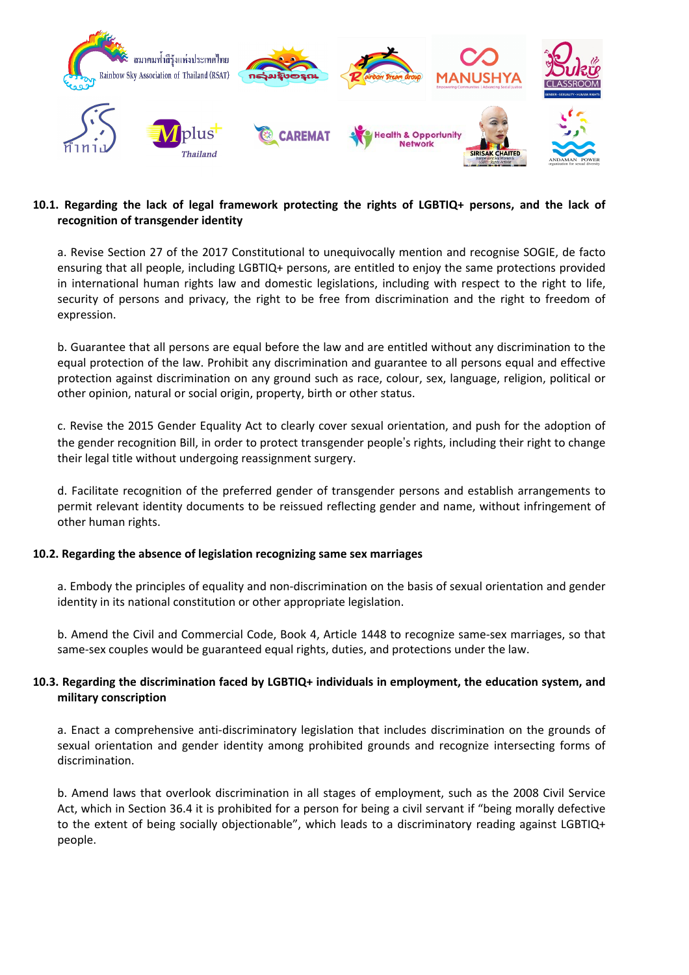

### **10.1. Regarding the lack of legal framework protecting the rights of LGBTIQ+ persons, and the lack of recognition of transgender identity**

a. Revise Section 27 of the 2017 Constitutional to unequivocally mention and recognise SOGIE, de facto ensuring that all people, including LGBTIQ+ persons, are entitled to enjoy the same protections provided in international human rights law and domestic legislations, including with respect to the right to life, security of persons and privacy, the right to be free from discrimination and the right to freedom of expression.

b. Guarantee that all persons are equal before the law and are entitled without any discrimination to the equal protection of the law. Prohibit any discrimination and guarantee to all persons equal and effective protection against discrimination on any ground such as race, colour, sex, language, religion, political or other opinion, natural or social origin, property, birth or other status.

c. Revise the 2015 Gender Equality Act to clearly cover sexual orientation, and push for the adoption of the gender recognition Bill, in order to protect transgender people'<sup>s</sup> rights, including their right to change their legal title without undergoing reassignment surgery.

d. Facilitate recognition of the preferred gender of transgender persons and establish arrangements to permit relevant identity documents to be reissued reflecting gender and name, without infringement of other human rights.

### **10.2. Regarding the absence of legislation recognizing same sex marriages**

a. Embody the principles of equality and non-discrimination on the basis of sexual orientation and gender identity in its national constitution or other appropriate legislation.

b. Amend the Civil and Commercial Code, Book 4, Article 1448 to recognize same-sex marriages, so that same-sex couples would be guaranteed equal rights, duties, and protections under the law.

### **10.3. Regarding the discrimination faced by LGBTIQ+ individuals in employment, the education system, and military conscription**

a. Enact <sup>a</sup> comprehensive anti-discriminatory legislation that includes discrimination on the grounds of sexual orientation and gender identity among prohibited grounds and recognize intersecting forms of discrimination.

b. Amend laws that overlook discrimination in all stages of employment, such as the 2008 Civil Service Act, which in Section 36.4 it is prohibited for <sup>a</sup> person for being <sup>a</sup> civil servant if "being morally defective to the extent of being socially objectionable", which leads to a discriminatory reading against LGBTIQ+ people.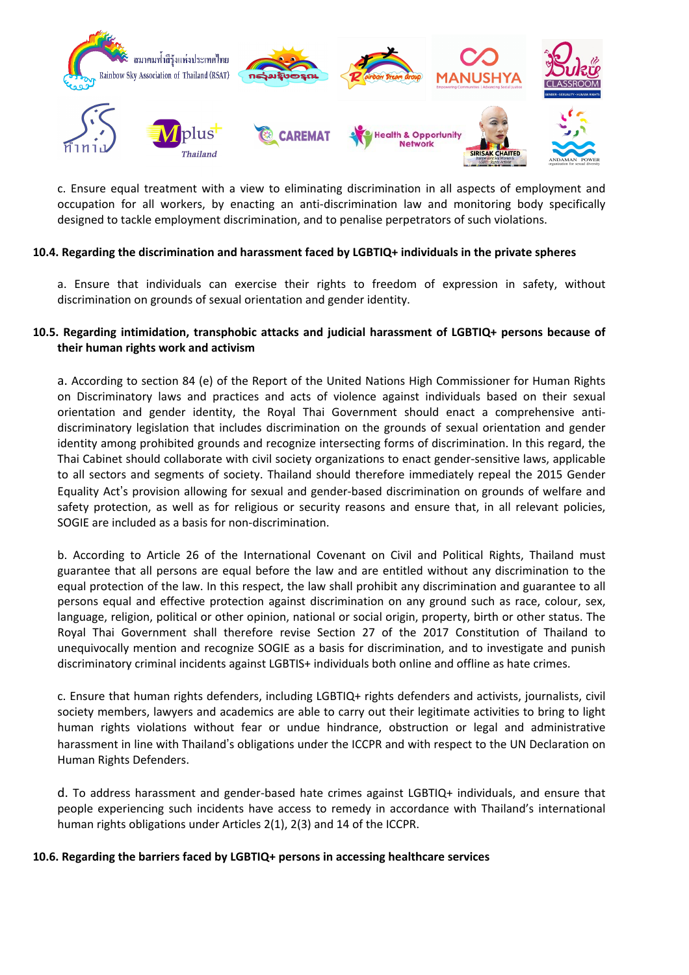

c. Ensure equal treatment with <sup>a</sup> view to eliminating discrimination in all aspects of employment and occupation for all workers, by enacting an anti-discrimination law and monitoring body specifically designed to tackle employment discrimination, and to penalise perpetrators of such violations.

#### **10.4. Regarding the discrimination and harassment faced by LGBTIQ+ individuals in the private spheres**

a. Ensure that individuals can exercise their rights to freedom of expression in safety, without discrimination on grounds of sexual orientation and gender identity.

#### **10.5. Regarding intimidation, transphobic attacks and judicial harassment of LGBTIQ+ persons because of their human rights work and activism**

a. According to section 84 (e) of the Report of the United Nations High Commissioner for Human Rights on Discriminatory laws and practices and acts of violence against individuals based on their sexual orientation and gender identity, the Royal Thai Government should enact <sup>a</sup> comprehensive antidiscriminatory legislation that includes discrimination on the grounds of sexual orientation and gender identity among prohibited grounds and recognize intersecting forms of discrimination. In this regard, the Thai Cabinet should collaborate with civil society organizations to enact gender-sensitive laws, applicable to all sectors and segments of society. Thailand should therefore immediately repeal the 2015 Gender Equality Act'<sup>s</sup> provision allowing for sexual and gender-based discrimination on grounds of welfare and safety protection, as well as for religious or security reasons and ensure that, in all relevant policies, SOGIE are included as <sup>a</sup> basis for non-discrimination.

b. According to Article 26 of the International Covenant on Civil and Political Rights, Thailand must guarantee that all persons are equal before the law and are entitled without any discrimination to the equal protection of the law. In this respect, the law shall prohibit any discrimination and guarantee to all persons equal and effective protection against discrimination on any ground such as race, colour, sex, language, religion, political or other opinion, national or social origin, property, birth or other status. The Royal Thai Government shall therefore revise Section 27 of the 2017 Constitution of Thailand to unequivocally mention and recognize SOGIE as <sup>a</sup> basis for discrimination, and to investigate and punish discriminatory criminal incidents against LGBTIS+ individuals both online and offline as hate crimes.

c. Ensure that human rights defenders, including LGBTIQ+ rights defenders and activists, journalists, civil society members, lawyers and academics are able to carry out their legitimate activities to bring to light human rights violations without fear or undue hindrance, obstruction or legal and administrative harassment in line with Thailand'<sup>s</sup> obligations under the ICCPR and with respect to the UN Declaration on Human Rights Defenders.

d. To address harassment and gender-based hate crimes against LGBTIQ+ individuals, and ensure that people experiencing such incidents have access to remedy in accordance with Thailand'<sup>s</sup> international human rights obligations under Articles 2(1), 2(3) and 14 of the ICCPR.

#### **10.6. Regarding the barriers faced by LGBTIQ+ persons in accessing healthcare services**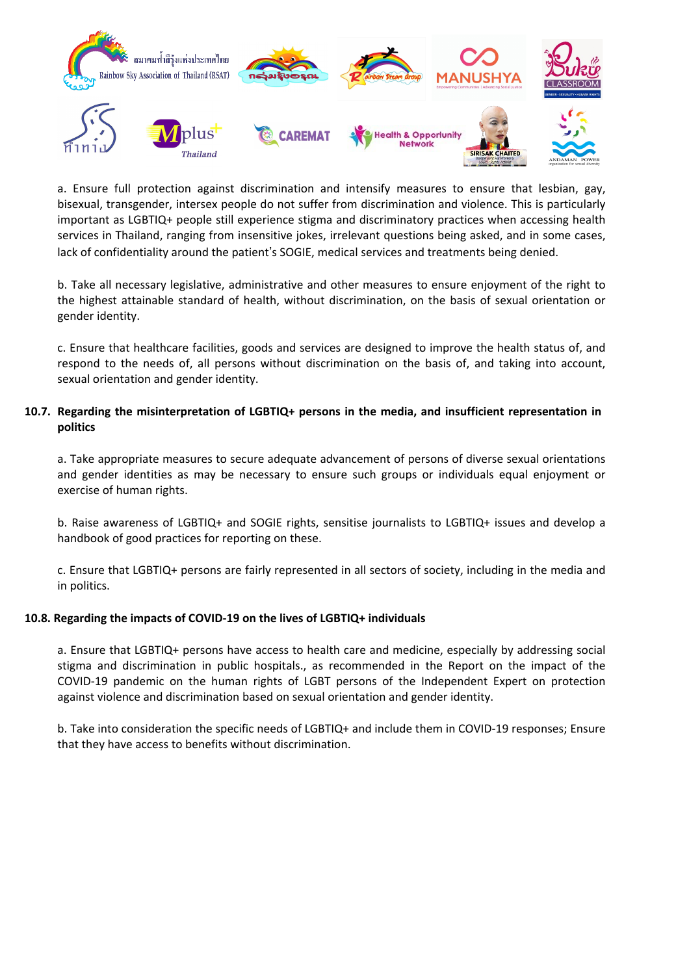

a. Ensure full protection against discrimination and intensify measures to ensure that lesbian, gay, bisexual, transgender, intersex people do not suffer from discrimination and violence. This is particularly important as LGBTIQ+ people still experience stigma and discriminatory practices when accessing health services in Thailand, ranging from insensitive jokes, irrelevant questions being asked, and in some cases, lack of confidentiality around the patient'<sup>s</sup> SOGIE, medical services and treatments being denied.

b. Take all necessary legislative, administrative and other measures to ensure enjoyment of the right to the highest attainable standard of health, without discrimination, on the basis of sexual orientation or gender identity.

c. Ensure that healthcare facilities, goods and services are designed to improve the health status of, and respond to the needs of, all persons without discrimination on the basis of, and taking into account, sexual orientation and gender identity.

#### **10.7. Regarding the misinterpretation of LGBTIQ+ persons in the media, and insufficient representation in politics**

a. Take appropriate measures to secure adequate advancement of persons of diverse sexual orientations and gender identities as may be necessary to ensure such groups or individuals equal enjoyment or exercise of human rights.

b. Raise awareness of LGBTIQ+ and SOGIE rights, sensitise journalists to LGBTIQ+ issues and develop <sup>a</sup> handbook of good practices for reporting on these.

c. Ensure that LGBTIQ+ persons are fairly represented in all sectors of society, including in the media and in politics.

### **10.8. Regarding the impacts of COVID-19 on the lives of LGBTIQ+ individuals**

a. Ensure that LGBTIQ+ persons have access to health care and medicine, especially by addressing social stigma and discrimination in public hospitals., as recommended in the Report on the impact of the COVID-19 pandemic on the human rights of LGBT persons of the Independent Expert on protection against violence and discrimination based on sexual orientation and gender identity.

b. Take into consideration the specific needs of LGBTIQ+ and include them in COVID-19 responses; Ensure that they have access to benefits without discrimination.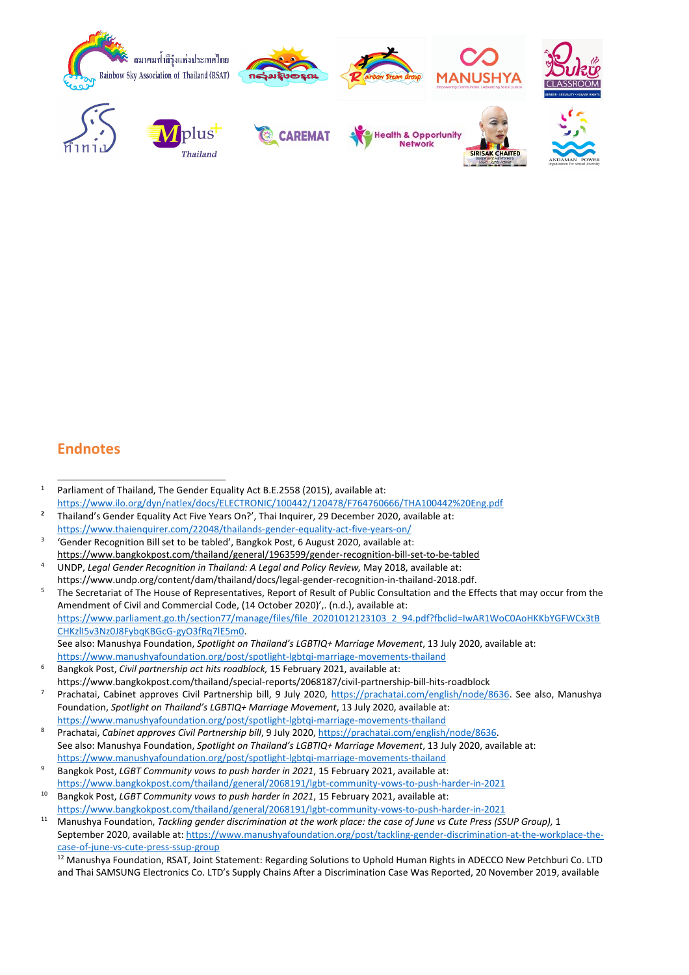

# **Endnotes**

- 1 Parliament of Thailand, The Gender Equality Act B.E.2558 (2015), available at: [https://www.ilo.org/dyn/natlex/docs/ELECTRONIC/100442/120478/F764760666/THA100442%20Eng.pdf](https://www.ilo.org/dyn/natlex/docs/ELECTRONIC/100442/120478/F764760666/THA100442%2520Eng.pdf)
- **2** Thailand'<sup>s</sup> Gender Equality Act Five Years On?', Thai Inquirer, 29 December 2020, available at: <https://www.thaienquirer.com/22048/thailands-gender-equality-act-five-years-on/>
- 3 'Gender Recognition Bill set to be tabled', Bangkok Post, 6 August 2020, available at: <https://www.bangkokpost.com/thailand/general/1963599/gender-recognition-bill-set-to-be-tabled>
- 4 UNDP, *Legal Gender Recognition in Thailand: A Legal and Policy Review,* May 2018, available at: https://www.undp.org/content/dam/thailand/docs/legal-gender-recognition-in-thailand-2018.pdf.
- 5 The Secretariat of The House of Representatives, Report of Result of Public Consultation and the Effects that may occur from the Amendment of Civil and Commercial Code, (14 October 2020)',. (n.d.), available at: [https://www.parliament.go.th/section77/manage/files/file\\_20201012123103\\_2\\_94.pdf?fbclid=IwAR1WoC0AoHKKbYGFWCx3tB](https://www.parliament.go.th/section77/manage/files/file_20201012123103_2_94.pdf?fbclid=IwAR1WoC0AoHKKbYGFWCx3tBCHKzlI5v3Nz0J8FybqKBGcG-gyO3fRq7lE5m0) [CHKzlI5v3Nz0J8FybqKBGcG-gyO3fRq7lE5m0](https://www.parliament.go.th/section77/manage/files/file_20201012123103_2_94.pdf?fbclid=IwAR1WoC0AoHKKbYGFWCx3tBCHKzlI5v3Nz0J8FybqKBGcG-gyO3fRq7lE5m0). See also: Manushya Foundation, *Spotlight on Thailand'<sup>s</sup> LGBTIQ+ Marriage Movement*, 13 July 2020, available at: <https://www.manushyafoundation.org/post/spotlight-lgbtqi-marriage-movements-thailand>
- 6 Bangkok Post, *Civil partnership act hits roadblock,* 15 February 2021, available at: https://www.bangkokpost.com/thailand/special-reports/2068187/civil-partnership-bill-hits-roadblock
- 7 Prachatai, Cabinet approves Civil Partnership bill, 9 July 2020, <https://prachatai.com/english/node/8636>. See also, Manushya Foundation, *Spotlight on Thailand'<sup>s</sup> LGBTIQ+ Marriage Movement*, 13 July 2020, available at: <https://www.manushyafoundation.org/post/spotlight-lgbtqi-marriage-movements-thailand>
- 8 Prachatai, *Cabinet approves Civil Partnership bill*, 9 July 2020, <https://prachatai.com/english/node/8636>. See also: Manushya Foundation, *Spotlight on Thailand'<sup>s</sup> LGBTIQ+ Marriage Movement*, 13 July 2020, available at: <https://www.manushyafoundation.org/post/spotlight-lgbtqi-marriage-movements-thailand>
- 9 Bangkok Post, *LGBT Community vows to push harder in 2021*, 15 February 2021, available at: <https://www.bangkokpost.com/thailand/general/2068191/lgbt-community-vows-to-push-harder-in-2021> 10
- Bangkok Post, *LGBT Community vows to push harder in 2021*, 15 February 2021, available at: <https://www.bangkokpost.com/thailand/general/2068191/lgbt-community-vows-to-push-harder-in-2021>
- <sup>11</sup> Manushya Foundation, Tackling gender discrimination at the work place: the case of June vs Cute Press (SSUP Group), 1 September 2020, available at: [https://www.manushyafoundation.org/post/tackling-gender-discrimination-at-the-workplace-the](https://www.manushyafoundation.org/post/tackling-gender-discrimination-at-the-workplace-the-case-of-june-vs-cute-press-ssup-group)[case-of-june-vs-cute-press-ssup-group](https://www.manushyafoundation.org/post/tackling-gender-discrimination-at-the-workplace-the-case-of-june-vs-cute-press-ssup-group)

<sup>12</sup> Manushya Foundation, RSAT, Joint Statement: Regarding Solutions to Uphold Human Rights in ADECCO New Petchburi Co. LTD and Thai SAMSUNG Electronics Co. LTD'<sup>s</sup> Supply Chains After <sup>a</sup> Discrimination Case Was Reported, 20 November 2019, available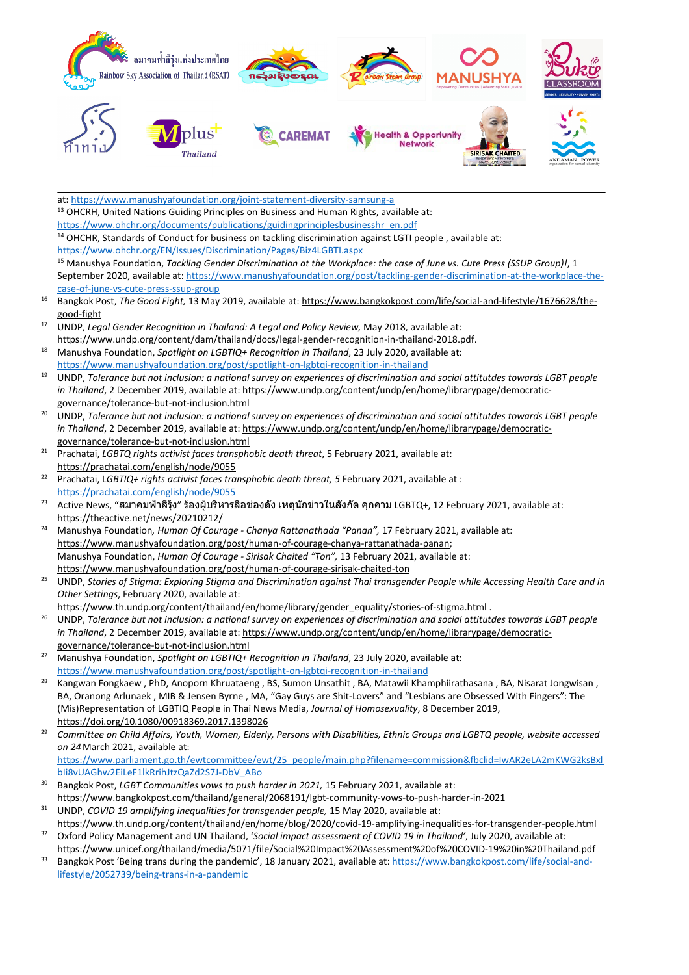

at: <https://www.manushyafoundation.org/joint-statement-diversity-samsung-a> <sup>13</sup> OHCRH, United Nations Guiding Principles on Business and Human Rights, available at: [https://www.ohchr.org/documents/publications/guidingprinciplesbusinesshr\\_en.pdf](https://www.ohchr.org/documents/publications/guidingprinciplesbusinesshr_en.pdf) <sup>14</sup> OHCHR, Standards of Conduct for business on tackling discrimination against LGTI people, available at: <https://www.ohchr.org/EN/Issues/Discrimination/Pages/Biz4LGBTI.aspx> <sup>15</sup> Manushya Foundation, Tackling Gender Discrimination at the Workplace: the case of June vs. Cute Press (SSUP Group)!, 1 September 2020, available at: [https://www.manushyafoundation.org/post/tackling-gender-discrimination-at-the-workplace-the](https://www.manushyafoundation.org/post/tackling-gender-discrimination-at-the-workplace-the-case-of-june-vs-cute-press-ssup-group)[case-of-june-vs-cute-press-ssup-group](https://www.manushyafoundation.org/post/tackling-gender-discrimination-at-the-workplace-the-case-of-june-vs-cute-press-ssup-group) 16 Bangkok Post, *The Good Fight,* 13 May 2019, available at: [https://www.bangkokpost.com/life/social-and-lifestyle/1676628/the](https://www.bangkokpost.com/life/social-and-lifestyle/1676628/the-good-fight)[good-fight](https://www.bangkokpost.com/life/social-and-lifestyle/1676628/the-good-fight) 17 UNDP, *Legal Gender Recognition in Thailand: A Legal and Policy Review,* May 2018, available at: https://www.undp.org/content/dam/thailand/docs/legal-gender-recognition-in-thailand-2018.pdf. <sup>18</sup> Manushya Foundation, *Spotlight on LGBTIQ+ Recognition in Thailand*, <sup>23</sup> July 2020, available at: <https://www.manushyafoundation.org/post/spotlight-on-lgbtqi-recognition-in-thailand> 19 UNDP, Tolerance but not inclusion: a national survey on experiences of discrimination and social attitutdes towards LGBT people *in Thailand*, 2 December 2019, available at: [https://www.undp.org/content/undp/en/home/librarypage/democratic](https://www.undp.org/content/undp/en/home/librarypage/democratic-governance/tolerance-but-not-inclusion.html)[governance/tolerance-but-not-inclusion.html](https://www.undp.org/content/undp/en/home/librarypage/democratic-governance/tolerance-but-not-inclusion.html) 20 UNDP, Tolerance but not inclusion: a national survey on experiences of discrimination and social attitutdes towards LGBT people *in Thailand*, 2 December 2019, available at: [https://www.undp.org/content/undp/en/home/librarypage/democratic](https://www.undp.org/content/undp/en/home/librarypage/democratic-governance/tolerance-but-not-inclusion.html)[governance/tolerance-but-not-inclusion.html](https://www.undp.org/content/undp/en/home/librarypage/democratic-governance/tolerance-but-not-inclusion.html) 21 Prachatai, *LGBTQ rights activist faces transphobic death threat*, 5 February 2021, available at: <https://prachatai.com/english/node/9055> 22 Prachatai, L*GBTIQ+ rights activist faces transphobic death threat, 5* February 2021, available at : <https://prachatai.com/english/node/9055> 23 Active News, "สมาคมฟ้าสีรุ้ง" ร้องผู้บริหารสื่อช่องดัง เหตุนักข่าวในสังกัด คุกคาม LGBTQ+, <sup>12</sup> February 2021, available at: https://theactive.net/news/20210212/ <sup>24</sup> Manushya Foundation*, Human Of Courage - Chanya Rattanathada "Panan",* <sup>17</sup> February 2021, available at: <https://www.manushyafoundation.org/post/human-of-courage-chanya-rattanathada-panan>; Manushya Foundation, *Human Of Courage - Sirisak Chaited "Ton",* 13 February 2021, available at: <https://www.manushyafoundation.org/post/human-of-courage-sirisak-chaited-ton> 25 UNDP, Stories of Stigma: Exploring Stigma and Discrimination against Thai transgender People while Accessing Health Care and in *Other Settings*, February 2020, available at: [https://www.th.undp.org/content/thailand/en/home/library/gender\\_equality/stories-of-stigma.html](https://www.th.undp.org/content/thailand/en/home/library/gender_equality/stories-of-stigma.html) .

- 26 UNDP, Tolerance but not inclusion: a national survey on experiences of discrimination and social attitutdes towards LGBT people in Thailand, 2 December 2019, available at: [https://www.undp.org/content/undp/en/home/librarypage/democratic](https://www.undp.org/content/undp/en/home/librarypage/democratic-governance/tolerance-but-not-inclusion.html)[governance/tolerance-but-not-inclusion.html](https://www.undp.org/content/undp/en/home/librarypage/democratic-governance/tolerance-but-not-inclusion.html)
- <sup>27</sup> Manushya Foundation, *Spotlight on LGBTIQ+ Recognition in Thailand*, <sup>23</sup> July 2020, available at: <https://www.manushyafoundation.org/post/spotlight-on-lgbtqi-recognition-in-thailand>
- 28 Kangwan Fongkaew , PhD, Anoporn Khruataeng , BS, Sumon Unsathit , BA, Matawii Khamphiirathasana , BA, Nisarat Jongwisan , BA, Oranong Arlunaek , MIB & Jensen Byrne , MA, "Gay Guys are Shit-Lovers" and "Lesbians are Obsessed With Fingers": The (Mis)Representation of LGBTIQ People in Thai News Media, *Journal of Homosexuality*, 8 December 2019, <https://doi.org/10.1080/00918369.2017.1398026>
- 29 Committee on Child Affairs, Youth, Women, Elderly, Persons with Disabilities, Ethnic Groups and LGBTQ people, website accessed *on 24* March 2021, available at: [https://www.parliament.go.th/ewtcommittee/ewt/25\\_people/main.php?filename=commission&fbclid=IwAR2eLA2mKWG2ksBxl](https://www.parliament.go.th/ewtcommittee/ewt/25_people/main.php?filename=commission&fbclid=IwAR2eLA2mKWG2ksBxlbIi8vUAGhw2EiLeF1lkRrihJtzQaZd2S7J-DbV_ABo) [bIi8vUAGhw2EiLeF1lkRrihJtzQaZd2S7J-DbV\\_ABo](https://www.parliament.go.th/ewtcommittee/ewt/25_people/main.php?filename=commission&fbclid=IwAR2eLA2mKWG2ksBxlbIi8vUAGhw2EiLeF1lkRrihJtzQaZd2S7J-DbV_ABo) 30
- Bangkok Post, *LGBT Communities vows to push harder in 2021,* 15 February 2021, available at: https://www.bangkokpost.com/thailand/general/2068191/lgbt-community-vows-to-push-harder-in-2021 31
- UNDP, *COVID 19 amplifying inequalities for transgender people,* 15 May 2020, available at: https://www.th.undp.org/content/thailand/en/home/blog/2020/covid-19-amplifying-inequalities-for-transgender-people.html 32
- Oxford Policy Management and UN Thailand, '*Social impact assessment of COVID 19 in Thailand'*, July 2020, available at: https://www.unicef.org/thailand/media/5071/file/Social%20Impact%20Assessment%20of%20COVID-19%20in%20Thailand.pdf
- 33 Bangkok Post 'Being trans during the pandemic', 18 January 2021, available at: [https://www.bangkokpost.com/life/social-and](https://www.bangkokpost.com/life/social-and-lifestyle/2052739/being-trans-in-a-pandemic)[lifestyle/2052739/being-trans-in-a-pandemic](https://www.bangkokpost.com/life/social-and-lifestyle/2052739/being-trans-in-a-pandemic)